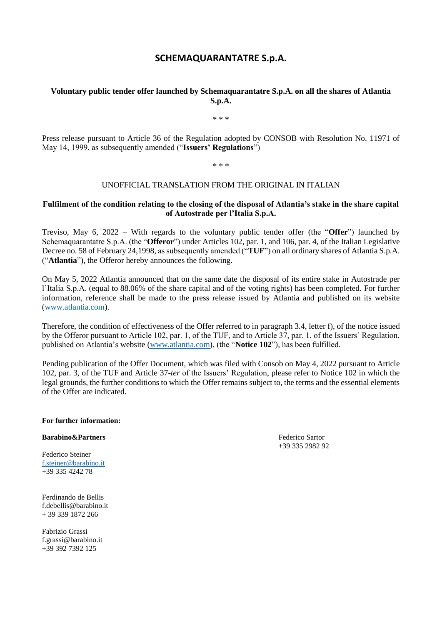# **SCHEMAQUARANTATRE S.p.A.**

## **Voluntary public tender offer launched by Schemaquarantatre S.p.A. on all the shares of Atlantia S.p.A.**

\* \* \*

Press release pursuant to Article 36 of the Regulation adopted by CONSOB with Resolution No. 11971 of May 14, 1999, as subsequently amended ("**Issuers' Regulations**")

\* \* \*

### UNOFFICIAL TRANSLATION FROM THE ORIGINAL IN ITALIAN

### **Fulfilment of the condition relating to the closing of the disposal of Atlantia's stake in the share capital of Autostrade per l'Italia S.p.A.**

Treviso, May 6, 2022 – With regards to the voluntary public tender offer (the "**Offer**") launched by Schemaquarantatre S.p.A. (the "**Offeror**") under Articles 102, par. 1, and 106, par. 4, of the Italian Legislative Decree no. 58 of February 24,1998, as subsequently amended ("**TUF**") on all ordinary shares of Atlantia S.p.A. ("**Atlantia**"), the Offeror hereby announces the following.

On May 5, 2022 Atlantia announced that on the same date the disposal of its entire stake in Autostrade per l'Italia S.p.A. (equal to 88.06% of the share capital and of the voting rights) has been completed. For further information, reference shall be made to the press release issued by Atlantia and published on its website [\(www.atlantia.com\)](http://www.atlantia.com/).

Therefore, the condition of effectiveness of the Offer referred to in paragraph 3.4, letter f), of the notice issued by the Offeror pursuant to Article 102, par. 1, of the TUF, and to Article 37, par. 1, of the Issuers' Regulation, published on Atlantia's website [\(www.atlantia.com\)](http://www.atlantia.com/), (the "**Notice 102**"), has been fulfilled.

Pending publication of the Offer Document, which was filed with Consob on May 4, 2022 pursuant to Article 102, par. 3, of the TUF and Article 37-*ter* of the Issuers' Regulation, please refer to Notice 102 in which the legal grounds, the further conditions to which the Offer remains subject to, the terms and the essential elements of the Offer are indicated.

#### **For further information:**

**Barabino&Partners** Federico Sartor

Federico Steiner [f.steiner@barabino.it](mailto:f.steiner@barabino.it) +39 335 4242 78

Ferdinando de Bellis f.debellis@barabino.it + 39 339 1872 266

Fabrizio Grassi f.grassi@barabino.it +39 392 7392 125

+39 335 2982 92